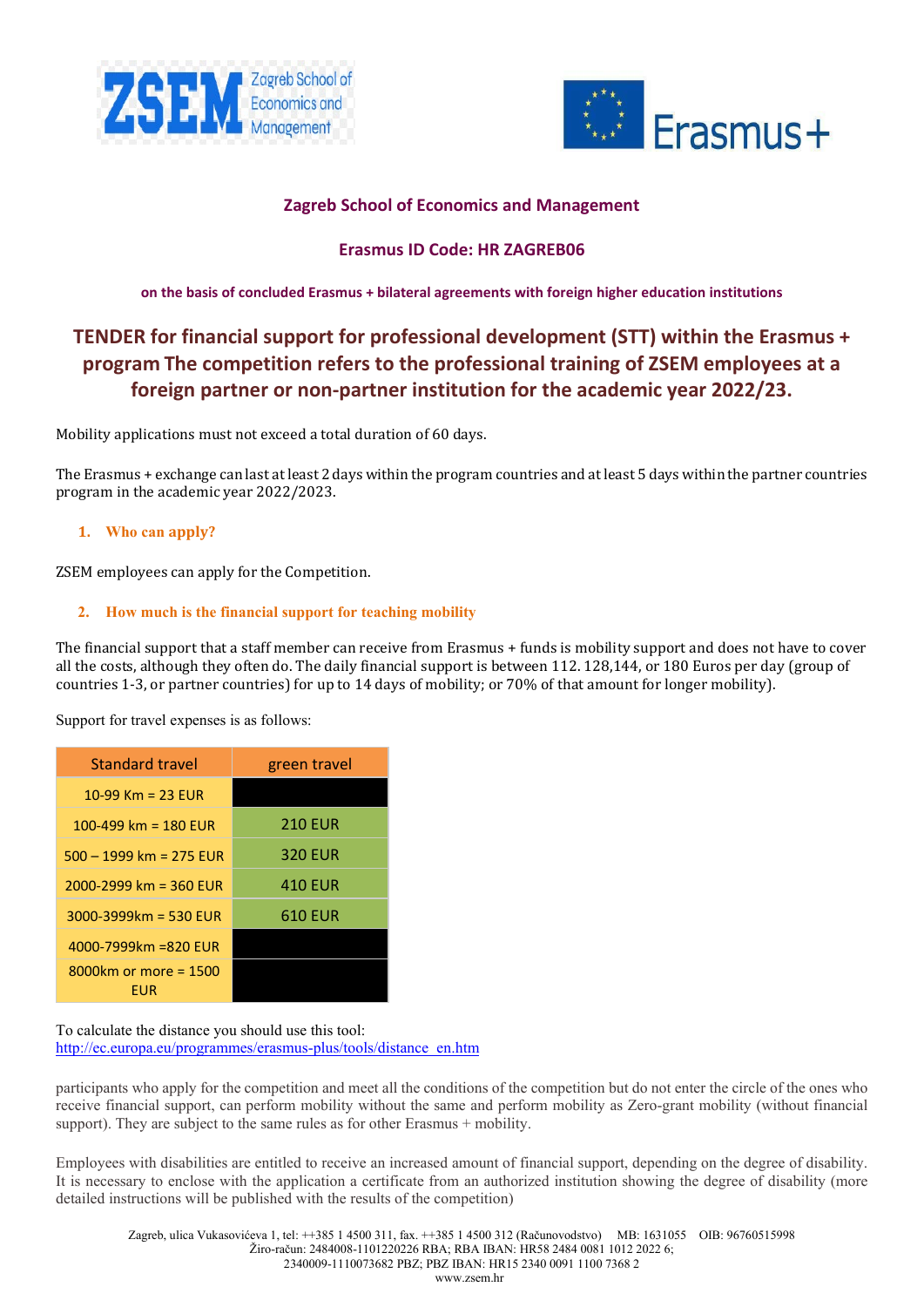



# **Zagreb School of Economics and Management**

# **Erasmus ID Code: HR ZAGREB06**

**on the basis of concluded Erasmus + bilateral agreements with foreign higher education institutions**

# **TENDER for financial support for professional development (STT) within the Erasmus + program The competition refers to the professional training of ZSEM employees at a foreign partner or non-partner institution for the academic year 2022/23.**

Mobility applications must not exceed a total duration of 60 days.

The Erasmus + exchange can last at least 2 days within the program countries and at least 5 days within the partner countries program in the academic year 2022/2023.

## **1. Who can apply?**

ZSEM employees can apply for the Competition.

## **2. How much is the financial support for teaching mobility**

The financial support that a staff member can receive from Erasmus + funds is mobility support and does not have to cover all the costs, although they often do. The daily financial support is between 112. 128,144, or 180 Euros per day (group of countries 1-3, or partner countries) for up to 14 days of mobility; or 70% of that amount for longer mobility).

Support for travel expenses is as follows:

| <b>Standard travel</b>       | green travel   |
|------------------------------|----------------|
| 10-99 Km = 23 EUR            |                |
| 100-499 km = $180$ EUR       | <b>210 EUR</b> |
| $500 - 1999$ km = 275 EUR    | <b>320 EUR</b> |
| 2000-2999 km = 360 EUR       | 410 EUR        |
| $3000 - 3999$ km = 530 EUR   | 610 EUR        |
| $4000 - 7999$ km = 820 FUR   |                |
| 8000km or more = 1500<br>FUR |                |

To calculate the distance you should use this tool: [http://ec.europa.eu/programmes/erasmus](http://ec.europa.eu/programmes/erasmus-plus/tools/distance_en.htm)-plus/tools/distance\_en.htm

participants who apply for the competition and meet all the conditions of the competition but do not enter the circle of the ones who receive financial support, can perform mobility without the same and perform mobility as Zero-grant mobility (without financial support). They are subject to the same rules as for other Erasmus + mobility.

Employees with disabilities are entitled to receive an increased amount of financial support, depending on the degree of disability. It is necessary to enclose with the application a certificate from an authorized institution showing the degree of disability (more detailed instructions will be published with the results of the competition)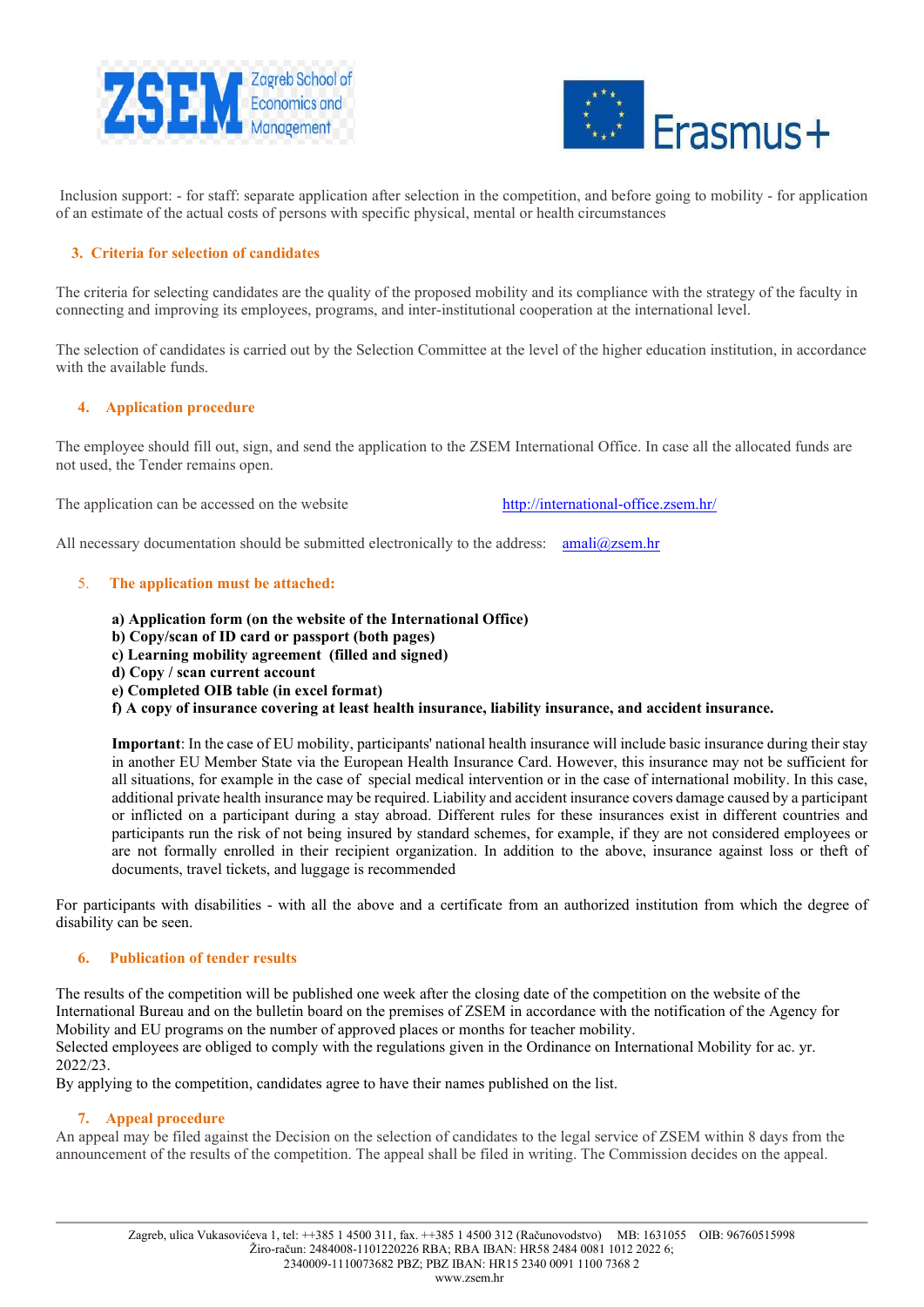



Inclusion support: - for staff: separate application after selection in the competition, and before going to mobility - for application of an estimate of the actual costs of persons with specific physical, mental or health circumstances

# **3. Criteria for selection of candidates**

The criteria for selecting candidates are the quality of the proposed mobility and its compliance with the strategy of the faculty in connecting and improving its employees, programs, and inter-institutional cooperation at the international level.

The selection of candidates is carried out by the Selection Committee at the level of the higher education institution, in accordance with the available funds.

### **4. Application procedure**

The employee should fill out, sign, and send the application to the ZSEM International Office. In case all the allocated funds are not used, the Tender remains open.

The application can be accessed on the website [http://international](http://international-office.zsem.hr/)-office.zsem.hr/

All necessary documentation should be submitted electronically to the address:  $amali@zsem/hr$ 

### 5. **The application must be attached:**

- **a) Application form (on the website of the International Office)**
- **b) Copy/scan of ID card or passport (both pages)**
- **c) Learning mobility agreement (filled and signed)**
- **d) Copy / scan current account**
- **e) Completed OIB table (in excel format)**
- **f) A copy of insurance covering at least health insurance, liability insurance, and accident insurance.**

**Important**: In the case of EU mobility, participants' national health insurance will include basic insurance during their stay in another EU Member State via the European Health Insurance Card. However, this insurance may not be sufficient for all situations, for example in the case of special medical intervention or in the case of international mobility. In this case, additional private health insurance may be required. Liability and accident insurance covers damage caused by a participant or inflicted on a participant during a stay abroad. Different rules for these insurances exist in different countries and participants run the risk of not being insured by standard schemes, for example, if they are not considered employees or are not formally enrolled in their recipient organization. In addition to the above, insurance against loss or theft of documents, travel tickets, and luggage is recommended

For participants with disabilities - with all the above and a certificate from an authorized institution from which the degree of disability can be seen.

### **6. Publication of tender results**

The results of the competition will be published one week after the closing date of the competition on the website of the International Bureau and on the bulletin board on the premises of ZSEM in accordance with the notification of the Agency for Mobility and EU programs on the number of approved places or months for teacher mobility. Selected employees are obliged to comply with the regulations given in the Ordinance on International Mobility for ac. yr. 2022/23.

By applying to the competition, candidates agree to have their names published on the list.

### **7. Appeal procedure**

An appeal may be filed against the Decision on the selection of candidates to the legal service of ZSEM within 8 days from the announcement of the results of the competition. The appeal shall be filed in writing. The Commission decides on the appeal.